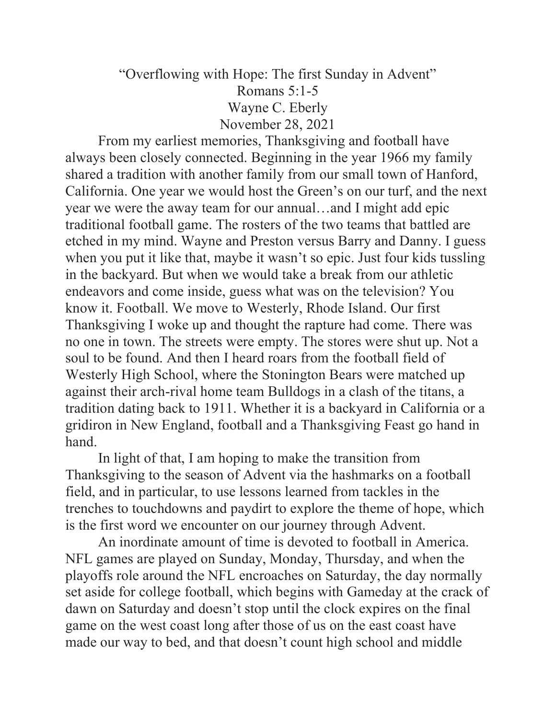## "Overflowing with Hope: The first Sunday in Advent" Romans 5:1-5 Wayne C. Eberly November 28, 2021

 From my earliest memories, Thanksgiving and football have always been closely connected. Beginning in the year 1966 my family shared a tradition with another family from our small town of Hanford, California. One year we would host the Green's on our turf, and the next year we were the away team for our annual…and I might add epic traditional football game. The rosters of the two teams that battled are etched in my mind. Wayne and Preston versus Barry and Danny. I guess when you put it like that, maybe it wasn't so epic. Just four kids tussling in the backyard. But when we would take a break from our athletic endeavors and come inside, guess what was on the television? You know it. Football. We move to Westerly, Rhode Island. Our first Thanksgiving I woke up and thought the rapture had come. There was no one in town. The streets were empty. The stores were shut up. Not a soul to be found. And then I heard roars from the football field of Westerly High School, where the Stonington Bears were matched up against their arch-rival home team Bulldogs in a clash of the titans, a tradition dating back to 1911. Whether it is a backyard in California or a gridiron in New England, football and a Thanksgiving Feast go hand in hand.

 In light of that, I am hoping to make the transition from Thanksgiving to the season of Advent via the hashmarks on a football field, and in particular, to use lessons learned from tackles in the trenches to touchdowns and paydirt to explore the theme of hope, which is the first word we encounter on our journey through Advent.

 An inordinate amount of time is devoted to football in America. NFL games are played on Sunday, Monday, Thursday, and when the playoffs role around the NFL encroaches on Saturday, the day normally set aside for college football, which begins with Gameday at the crack of dawn on Saturday and doesn't stop until the clock expires on the final game on the west coast long after those of us on the east coast have made our way to bed, and that doesn't count high school and middle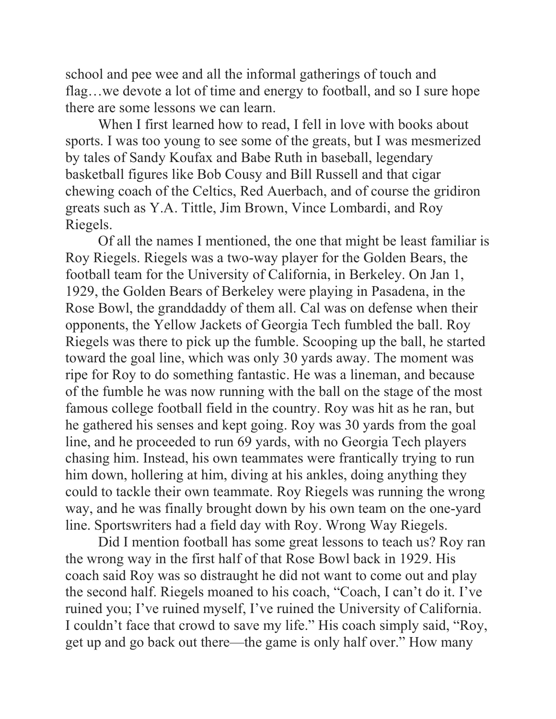school and pee wee and all the informal gatherings of touch and flag…we devote a lot of time and energy to football, and so I sure hope there are some lessons we can learn.

 When I first learned how to read, I fell in love with books about sports. I was too young to see some of the greats, but I was mesmerized by tales of Sandy Koufax and Babe Ruth in baseball, legendary basketball figures like Bob Cousy and Bill Russell and that cigar chewing coach of the Celtics, Red Auerbach, and of course the gridiron greats such as Y.A. Tittle, Jim Brown, Vince Lombardi, and Roy Riegels.

 Of all the names I mentioned, the one that might be least familiar is Roy Riegels. Riegels was a two-way player for the Golden Bears, the football team for the University of California, in Berkeley. On Jan 1, 1929, the Golden Bears of Berkeley were playing in Pasadena, in the Rose Bowl, the granddaddy of them all. Cal was on defense when their opponents, the Yellow Jackets of Georgia Tech fumbled the ball. Roy Riegels was there to pick up the fumble. Scooping up the ball, he started toward the goal line, which was only 30 yards away. The moment was ripe for Roy to do something fantastic. He was a lineman, and because of the fumble he was now running with the ball on the stage of the most famous college football field in the country. Roy was hit as he ran, but he gathered his senses and kept going. Roy was 30 yards from the goal line, and he proceeded to run 69 yards, with no Georgia Tech players chasing him. Instead, his own teammates were frantically trying to run him down, hollering at him, diving at his ankles, doing anything they could to tackle their own teammate. Roy Riegels was running the wrong way, and he was finally brought down by his own team on the one-yard line. Sportswriters had a field day with Roy. Wrong Way Riegels.

 Did I mention football has some great lessons to teach us? Roy ran the wrong way in the first half of that Rose Bowl back in 1929. His coach said Roy was so distraught he did not want to come out and play the second half. Riegels moaned to his coach, "Coach, I can't do it. I've ruined you; I've ruined myself, I've ruined the University of California. I couldn't face that crowd to save my life." His coach simply said, "Roy, get up and go back out there—the game is only half over." How many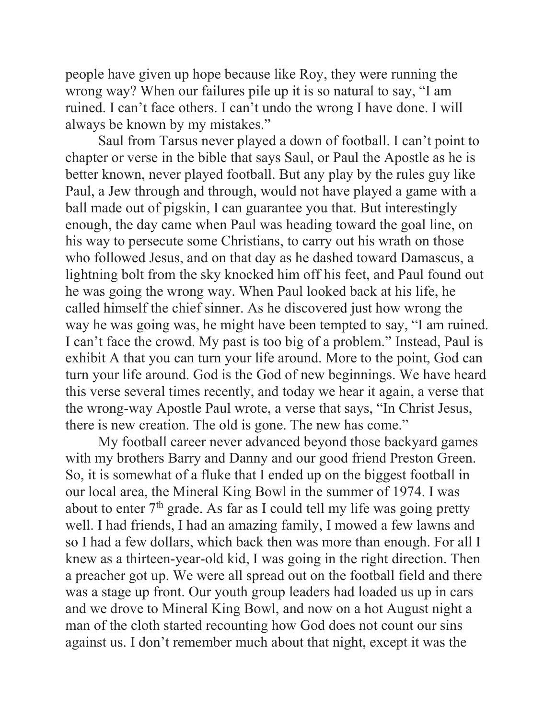people have given up hope because like Roy, they were running the wrong way? When our failures pile up it is so natural to say, "I am ruined. I can't face others. I can't undo the wrong I have done. I will always be known by my mistakes."

 Saul from Tarsus never played a down of football. I can't point to chapter or verse in the bible that says Saul, or Paul the Apostle as he is better known, never played football. But any play by the rules guy like Paul, a Jew through and through, would not have played a game with a ball made out of pigskin, I can guarantee you that. But interestingly enough, the day came when Paul was heading toward the goal line, on his way to persecute some Christians, to carry out his wrath on those who followed Jesus, and on that day as he dashed toward Damascus, a lightning bolt from the sky knocked him off his feet, and Paul found out he was going the wrong way. When Paul looked back at his life, he called himself the chief sinner. As he discovered just how wrong the way he was going was, he might have been tempted to say, "I am ruined. I can't face the crowd. My past is too big of a problem." Instead, Paul is exhibit A that you can turn your life around. More to the point, God can turn your life around. God is the God of new beginnings. We have heard this verse several times recently, and today we hear it again, a verse that the wrong-way Apostle Paul wrote, a verse that says, "In Christ Jesus, there is new creation. The old is gone. The new has come."

 My football career never advanced beyond those backyard games with my brothers Barry and Danny and our good friend Preston Green. So, it is somewhat of a fluke that I ended up on the biggest football in our local area, the Mineral King Bowl in the summer of 1974. I was about to enter  $7<sup>th</sup>$  grade. As far as I could tell my life was going pretty well. I had friends, I had an amazing family, I mowed a few lawns and so I had a few dollars, which back then was more than enough. For all I knew as a thirteen-year-old kid, I was going in the right direction. Then a preacher got up. We were all spread out on the football field and there was a stage up front. Our youth group leaders had loaded us up in cars and we drove to Mineral King Bowl, and now on a hot August night a man of the cloth started recounting how God does not count our sins against us. I don't remember much about that night, except it was the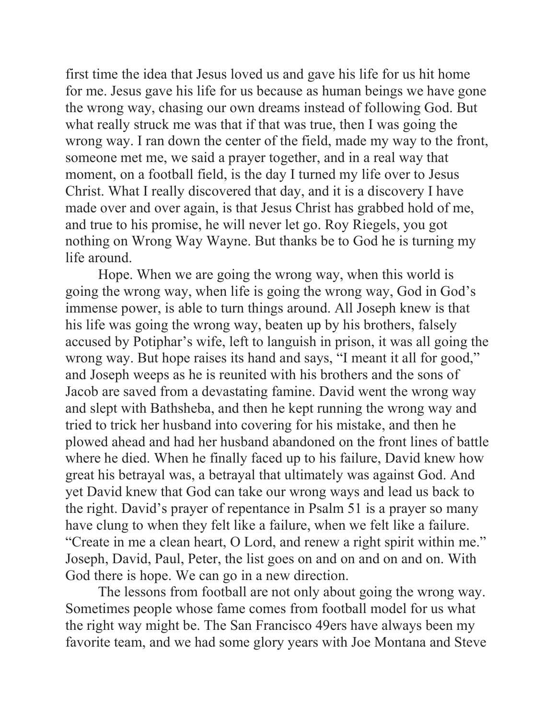first time the idea that Jesus loved us and gave his life for us hit home for me. Jesus gave his life for us because as human beings we have gone the wrong way, chasing our own dreams instead of following God. But what really struck me was that if that was true, then I was going the wrong way. I ran down the center of the field, made my way to the front, someone met me, we said a prayer together, and in a real way that moment, on a football field, is the day I turned my life over to Jesus Christ. What I really discovered that day, and it is a discovery I have made over and over again, is that Jesus Christ has grabbed hold of me, and true to his promise, he will never let go. Roy Riegels, you got nothing on Wrong Way Wayne. But thanks be to God he is turning my life around.

 Hope. When we are going the wrong way, when this world is going the wrong way, when life is going the wrong way, God in God's immense power, is able to turn things around. All Joseph knew is that his life was going the wrong way, beaten up by his brothers, falsely accused by Potiphar's wife, left to languish in prison, it was all going the wrong way. But hope raises its hand and says, "I meant it all for good," and Joseph weeps as he is reunited with his brothers and the sons of Jacob are saved from a devastating famine. David went the wrong way and slept with Bathsheba, and then he kept running the wrong way and tried to trick her husband into covering for his mistake, and then he plowed ahead and had her husband abandoned on the front lines of battle where he died. When he finally faced up to his failure, David knew how great his betrayal was, a betrayal that ultimately was against God. And yet David knew that God can take our wrong ways and lead us back to the right. David's prayer of repentance in Psalm 51 is a prayer so many have clung to when they felt like a failure, when we felt like a failure. "Create in me a clean heart, O Lord, and renew a right spirit within me." Joseph, David, Paul, Peter, the list goes on and on and on and on. With God there is hope. We can go in a new direction.

 The lessons from football are not only about going the wrong way. Sometimes people whose fame comes from football model for us what the right way might be. The San Francisco 49ers have always been my favorite team, and we had some glory years with Joe Montana and Steve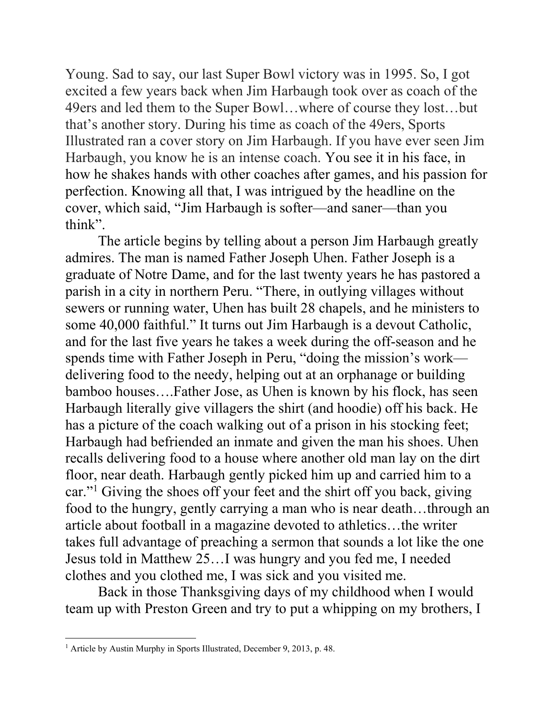Young. Sad to say, our last Super Bowl victory was in 1995. So, I got excited a few years back when Jim Harbaugh took over as coach of the 49ers and led them to the Super Bowl…where of course they lost…but that's another story. During his time as coach of the 49ers, Sports Illustrated ran a cover story on Jim Harbaugh. If you have ever seen Jim Harbaugh, you know he is an intense coach. You see it in his face, in how he shakes hands with other coaches after games, and his passion for perfection. Knowing all that, I was intrigued by the headline on the cover, which said, "Jim Harbaugh is softer—and saner—than you think".

The article begins by telling about a person Jim Harbaugh greatly admires. The man is named Father Joseph Uhen. Father Joseph is a graduate of Notre Dame, and for the last twenty years he has pastored a parish in a city in northern Peru. "There, in outlying villages without sewers or running water, Uhen has built 28 chapels, and he ministers to some 40,000 faithful." It turns out Jim Harbaugh is a devout Catholic, and for the last five years he takes a week during the off-season and he spends time with Father Joseph in Peru, "doing the mission's work delivering food to the needy, helping out at an orphanage or building bamboo houses….Father Jose, as Uhen is known by his flock, has seen Harbaugh literally give villagers the shirt (and hoodie) off his back. He has a picture of the coach walking out of a prison in his stocking feet; Harbaugh had befriended an inmate and given the man his shoes. Uhen recalls delivering food to a house where another old man lay on the dirt floor, near death. Harbaugh gently picked him up and carried him to a car."<sup>1</sup> Giving the shoes off your feet and the shirt off you back, giving food to the hungry, gently carrying a man who is near death…through an article about football in a magazine devoted to athletics…the writer takes full advantage of preaching a sermon that sounds a lot like the one Jesus told in Matthew 25…I was hungry and you fed me, I needed clothes and you clothed me, I was sick and you visited me.

Back in those Thanksgiving days of my childhood when I would team up with Preston Green and try to put a whipping on my brothers, I

<sup>&</sup>lt;sup>1</sup> Article by Austin Murphy in Sports Illustrated, December 9, 2013, p. 48.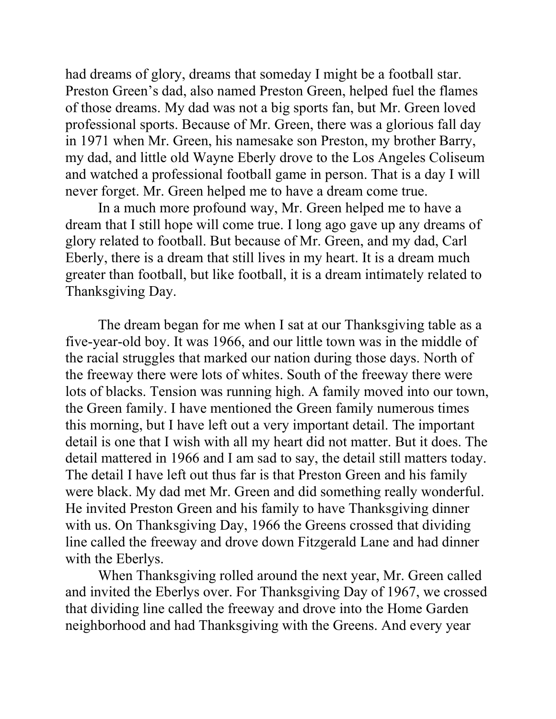had dreams of glory, dreams that someday I might be a football star. Preston Green's dad, also named Preston Green, helped fuel the flames of those dreams. My dad was not a big sports fan, but Mr. Green loved professional sports. Because of Mr. Green, there was a glorious fall day in 1971 when Mr. Green, his namesake son Preston, my brother Barry, my dad, and little old Wayne Eberly drove to the Los Angeles Coliseum and watched a professional football game in person. That is a day I will never forget. Mr. Green helped me to have a dream come true.

In a much more profound way, Mr. Green helped me to have a dream that I still hope will come true. I long ago gave up any dreams of glory related to football. But because of Mr. Green, and my dad, Carl Eberly, there is a dream that still lives in my heart. It is a dream much greater than football, but like football, it is a dream intimately related to Thanksgiving Day.

The dream began for me when I sat at our Thanksgiving table as a five-year-old boy. It was 1966, and our little town was in the middle of the racial struggles that marked our nation during those days. North of the freeway there were lots of whites. South of the freeway there were lots of blacks. Tension was running high. A family moved into our town, the Green family. I have mentioned the Green family numerous times this morning, but I have left out a very important detail. The important detail is one that I wish with all my heart did not matter. But it does. The detail mattered in 1966 and I am sad to say, the detail still matters today. The detail I have left out thus far is that Preston Green and his family were black. My dad met Mr. Green and did something really wonderful. He invited Preston Green and his family to have Thanksgiving dinner with us. On Thanksgiving Day, 1966 the Greens crossed that dividing line called the freeway and drove down Fitzgerald Lane and had dinner with the Eberlys.

 When Thanksgiving rolled around the next year, Mr. Green called and invited the Eberlys over. For Thanksgiving Day of 1967, we crossed that dividing line called the freeway and drove into the Home Garden neighborhood and had Thanksgiving with the Greens. And every year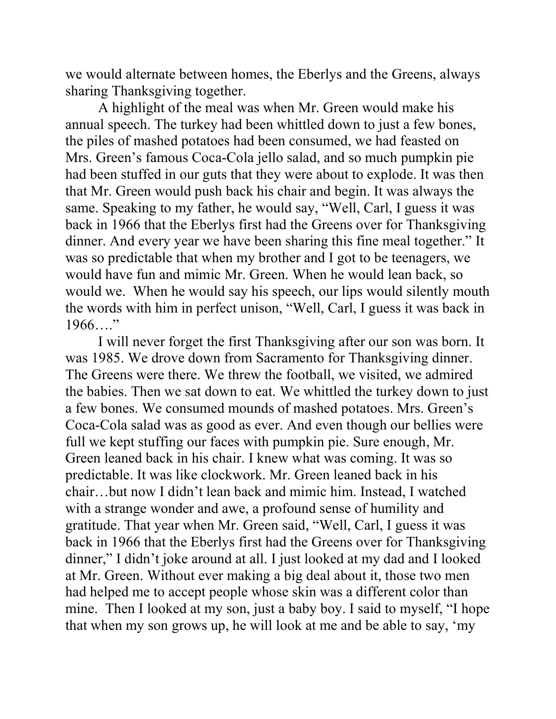we would alternate between homes, the Eberlys and the Greens, always sharing Thanksgiving together.

 A highlight of the meal was when Mr. Green would make his annual speech. The turkey had been whittled down to just a few bones, the piles of mashed potatoes had been consumed, we had feasted on Mrs. Green's famous Coca-Cola jello salad, and so much pumpkin pie had been stuffed in our guts that they were about to explode. It was then that Mr. Green would push back his chair and begin. It was always the same. Speaking to my father, he would say, "Well, Carl, I guess it was back in 1966 that the Eberlys first had the Greens over for Thanksgiving dinner. And every year we have been sharing this fine meal together." It was so predictable that when my brother and I got to be teenagers, we would have fun and mimic Mr. Green. When he would lean back, so would we. When he would say his speech, our lips would silently mouth the words with him in perfect unison, "Well, Carl, I guess it was back in  $1966...$ "

 I will never forget the first Thanksgiving after our son was born. It was 1985. We drove down from Sacramento for Thanksgiving dinner. The Greens were there. We threw the football, we visited, we admired the babies. Then we sat down to eat. We whittled the turkey down to just a few bones. We consumed mounds of mashed potatoes. Mrs. Green's Coca-Cola salad was as good as ever. And even though our bellies were full we kept stuffing our faces with pumpkin pie. Sure enough, Mr. Green leaned back in his chair. I knew what was coming. It was so predictable. It was like clockwork. Mr. Green leaned back in his chair…but now I didn't lean back and mimic him. Instead, I watched with a strange wonder and awe, a profound sense of humility and gratitude. That year when Mr. Green said, "Well, Carl, I guess it was back in 1966 that the Eberlys first had the Greens over for Thanksgiving dinner," I didn't joke around at all. I just looked at my dad and I looked at Mr. Green. Without ever making a big deal about it, those two men had helped me to accept people whose skin was a different color than mine. Then I looked at my son, just a baby boy. I said to myself, "I hope that when my son grows up, he will look at me and be able to say, 'my